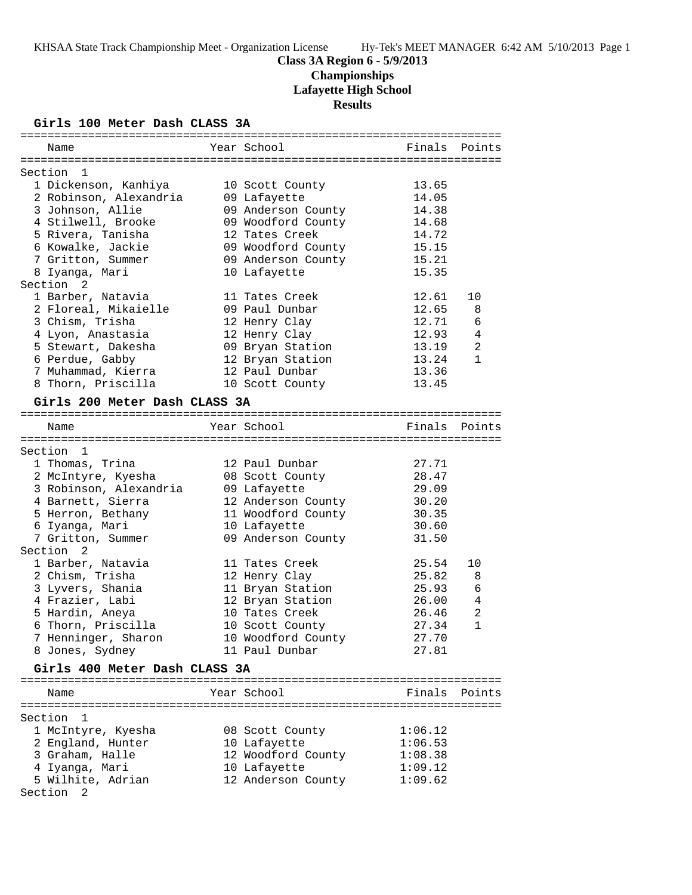# **Class 3A Region 6 - 5/9/2013 Championships Lafayette High School Results**

## **Girls 100 Meter Dash CLASS 3A**

| Name                          | Year School        | Finals  | Points         |
|-------------------------------|--------------------|---------|----------------|
|                               |                    |         |                |
| Section<br>1                  |                    |         |                |
| 1 Dickenson, Kanhiya          | 10 Scott County    | 13.65   |                |
| 2 Robinson, Alexandria        | 09 Lafayette       | 14.05   |                |
| 3 Johnson, Allie              | 09 Anderson County | 14.38   |                |
| 4 Stilwell, Brooke            | 09 Woodford County | 14.68   |                |
| 5 Rivera, Tanisha             | 12 Tates Creek     | 14.72   |                |
| 6 Kowalke, Jackie             | 09 Woodford County | 15.15   |                |
| 7 Gritton, Summer             | 09 Anderson County | 15.21   |                |
| 8 Iyanga, Mari                | 10 Lafayette       | 15.35   |                |
| Section 2                     |                    |         |                |
| 1 Barber, Natavia             | 11 Tates Creek     | 12.61   | 10             |
| 2 Floreal, Mikaielle          | 09 Paul Dunbar     | 12.65   | 8              |
| 3 Chism, Trisha               | 12 Henry Clay      | 12.71   | 6              |
| 4 Lyon, Anastasia             | 12 Henry Clay      | 12.93   | $\overline{4}$ |
| 5 Stewart, Dakesha            | 09 Bryan Station   | 13.19   | 2              |
| 6 Perdue, Gabby               | 12 Bryan Station   | 13.24   | $\mathbf{1}$   |
| 7 Muhammad, Kierra            | 12 Paul Dunbar     | 13.36   |                |
| 8 Thorn, Priscilla            | 10 Scott County    | 13.45   |                |
| Girls 200 Meter Dash CLASS 3A |                    |         |                |
|                               |                    |         |                |
| Name                          | Year School        | Finals  | Points         |
|                               |                    |         |                |
| Section 1                     |                    |         |                |
| 1 Thomas, Trina               | 12 Paul Dunbar     | 27.71   |                |
| 2 McIntyre, Kyesha            | 08 Scott County    | 28.47   |                |
| 3 Robinson, Alexandria        | 09 Lafayette       | 29.09   |                |
| 4 Barnett, Sierra             | 12 Anderson County | 30.20   |                |
| 5 Herron, Bethany             | 11 Woodford County | 30.35   |                |
| 6 Iyanga, Mari                | 10 Lafayette       | 30.60   |                |
| 7 Gritton, Summer             | 09 Anderson County | 31.50   |                |
| Section <sub>2</sub>          |                    |         |                |
| 1 Barber, Natavia             | 11 Tates Creek     | 25.54   | 10             |
| 2 Chism, Trisha               | 12 Henry Clay      | 25.82   | 8              |
| 3 Lyvers, Shania              | 11 Bryan Station   | 25.93   | 6              |
| 4 Frazier, Labi               | 12 Bryan Station   | 26.00   | 4              |
| 5 Hardin, Aneya               | 10 Tates Creek     | 26.46   | 2              |
| 6 Thorn, Priscilla            | 10 Scott County    | 27.34   | $\mathbf{1}$   |
| 7 Henninger, Sharon           | 10 Woodford County | 27.70   |                |
| 8 Jones, Sydney               | 11 Paul Dunbar     | 27.81   |                |
|                               |                    |         |                |
| Girls 400 Meter Dash CLASS 3A |                    |         |                |
| Name                          | Year School        |         | Finals Points  |
|                               |                    |         |                |
| Section<br>1                  |                    |         |                |
| 1 McIntyre, Kyesha            | 08 Scott County    | 1:06.12 |                |
| 2 England, Hunter             | 10 Lafayette       | 1:06.53 |                |
| 3 Graham, Halle               | 12 Woodford County | 1:08.38 |                |
| 4 Iyanga, Mari                | 10 Lafayette       | 1:09.12 |                |
| 5 Wilhite, Adrian             | 12 Anderson County | 1:09.62 |                |
| Section 2                     |                    |         |                |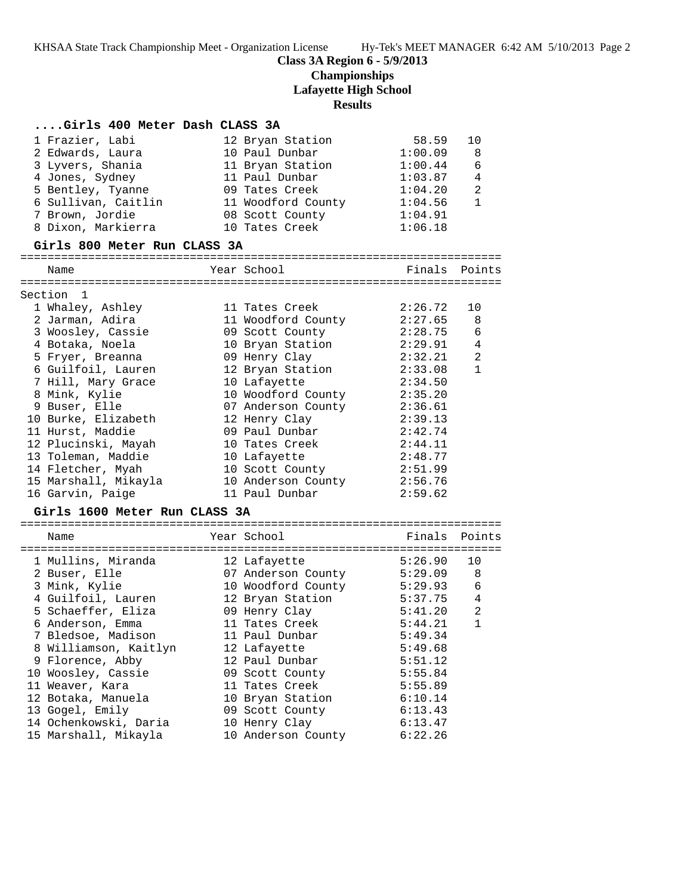## **Class 3A Region 6 - 5/9/2013**

# **Championships**

**Lafayette High School**

#### **Results**

#### **....Girls 400 Meter Dash CLASS 3A**

| 1 Frazier, Labi     | 12 Bryan Station   | 58.59   | 10             |
|---------------------|--------------------|---------|----------------|
| 2 Edwards, Laura    | 10 Paul Dunbar     | 1:00.09 | - 8            |
| 3 Lyvers, Shania    | 11 Bryan Station   | 1:00.44 | 6              |
| 4 Jones, Sydney     | 11 Paul Dunbar     | 1:03.87 | 4              |
| 5 Bentley, Tyanne   | 09 Tates Creek     | 1:04.20 | $\overline{2}$ |
| 6 Sullivan, Caitlin | 11 Woodford County | 1:04.56 |                |
| 7 Brown, Jordie     | 08 Scott County    | 1:04.91 |                |
| 8 Dixon, Markierra  | 10 Tates Creek     | 1:06.18 |                |

#### **Girls 800 Meter Run CLASS 3A**

=======================================================================

| Name                 | Year School        | Finals  | Points         |
|----------------------|--------------------|---------|----------------|
| Section 1            |                    |         |                |
| 1 Whaley, Ashley     | 11 Tates Creek     | 2:26.72 | 10             |
| 2 Jarman, Adira      | 11 Woodford County | 2:27.65 | 8              |
| 3 Woosley, Cassie    | 09 Scott County    | 2:28.75 | 6              |
| 4 Botaka, Noela      | 10 Bryan Station   | 2:29.91 | $\overline{4}$ |
| 5 Fryer, Breanna     | 09 Henry Clay      | 2:32.21 | $\overline{2}$ |
| 6 Guilfoil, Lauren   | 12 Bryan Station   | 2:33.08 | $\mathbf{1}$   |
| 7 Hill, Mary Grace   | 10 Lafayette       | 2:34.50 |                |
| 8 Mink, Kylie        | 10 Woodford County | 2:35.20 |                |
| 9 Buser, Elle        | 07 Anderson County | 2:36.61 |                |
| 10 Burke, Elizabeth  | 12 Henry Clay      | 2:39.13 |                |
| 11 Hurst, Maddie     | 09 Paul Dunbar     | 2:42.74 |                |
| 12 Plucinski, Mayah  | 10 Tates Creek     | 2:44.11 |                |
| 13 Toleman, Maddie   | 10 Lafayette       | 2:48.77 |                |
| 14 Fletcher, Myah    | 10 Scott County    | 2:51.99 |                |
| 15 Marshall, Mikayla | 10 Anderson County | 2:56.76 |                |
| 16 Garvin, Paige     | 11 Paul Dunbar     | 2:59.62 |                |
|                      |                    |         |                |

#### **Girls 1600 Meter Run CLASS 3A**

| Name                  | Year School        | Finals Points |                |
|-----------------------|--------------------|---------------|----------------|
| 1 Mullins, Miranda    | 12 Lafayette       | 5:26.90       | 10             |
| 2 Buser, Elle         | 07 Anderson County | 5:29.09       | 8              |
| 3 Mink, Kylie         | 10 Woodford County | 5:29.93       | 6              |
| 4 Guilfoil, Lauren    | 12 Bryan Station   | 5:37.75       | $\overline{4}$ |
| 5 Schaeffer, Eliza    | 09 Henry Clay      | 5:41.20       | 2              |
| 6 Anderson, Emma      | 11 Tates Creek     | 5:44.21       | 1              |
| 7 Bledsoe, Madison    | 11 Paul Dunbar     | 5:49.34       |                |
| 8 Williamson, Kaitlyn | 12 Lafayette       | 5:49.68       |                |
| 9 Florence, Abby      | 12 Paul Dunbar     | 5:51.12       |                |
| 10 Woosley, Cassie    | 09 Scott County    | 5:55.84       |                |
| 11 Weaver, Kara       | 11 Tates Creek     | 5:55.89       |                |
| 12 Botaka, Manuela    | 10 Bryan Station   | 6:10.14       |                |
| 13 Gogel, Emily       | 09 Scott County    | 6:13.43       |                |
| 14 Ochenkowski, Daria | 10 Henry Clay      | 6:13.47       |                |
| 15 Marshall, Mikayla  | 10 Anderson County | 6:22.26       |                |
|                       |                    |               |                |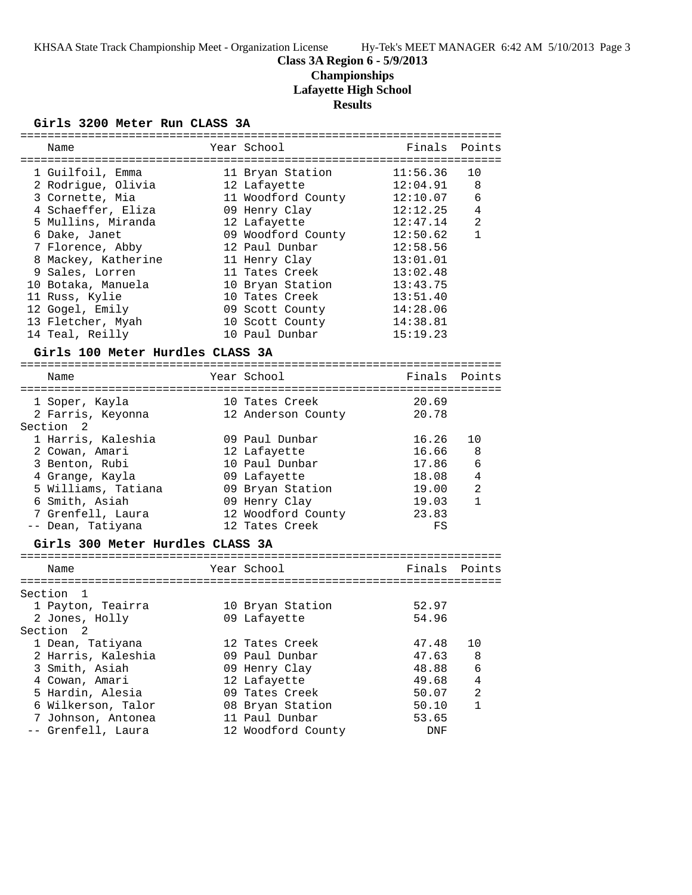# **Class 3A Region 6 - 5/9/2013 Championships**

**Lafayette High School**

**Results**

## **Girls 3200 Meter Run CLASS 3A**

| Name                |                                  | --------------------------------<br>Year School | Finals     | Points       |
|---------------------|----------------------------------|-------------------------------------------------|------------|--------------|
|                     |                                  |                                                 |            |              |
| 1 Guilfoil, Emma    |                                  | 11 Bryan Station                                | 11:56.36   | 10           |
| 2 Rodrigue, Olivia  |                                  | 12 Lafayette                                    | 12:04.91   | 8            |
| 3 Cornette, Mia     |                                  | 11 Woodford County                              | 12:10.07   | 6            |
| 4 Schaeffer, Eliza  |                                  | 09 Henry Clay                                   | 12:12.25   | 4            |
| 5 Mullins, Miranda  |                                  | 12 Lafayette                                    | 12:47.14   | 2            |
| 6 Dake, Janet       |                                  | 09 Woodford County                              | 12:50.62   | $\mathbf{1}$ |
| 7 Florence, Abby    |                                  | 12 Paul Dunbar                                  | 12:58.56   |              |
| 8 Mackey, Katherine |                                  | 11 Henry Clay                                   | 13:01.01   |              |
| 9 Sales, Lorren     |                                  | 11 Tates Creek                                  | 13:02.48   |              |
| 10 Botaka, Manuela  |                                  | 10 Bryan Station                                | 13:43.75   |              |
| 11 Russ, Kylie      |                                  | 10 Tates Creek                                  | 13:51.40   |              |
| 12 Gogel, Emily     |                                  | 09 Scott County                                 | 14:28.06   |              |
| 13 Fletcher, Myah   |                                  | 10 Scott County                                 | 14:38.81   |              |
| 14 Teal, Reilly     |                                  | 10 Paul Dunbar                                  | 15:19.23   |              |
|                     | Girls 100 Meter Hurdles CLASS 3A |                                                 |            |              |
| Name                |                                  | Year School                                     | Finals     | Points       |
|                     |                                  |                                                 |            |              |
| 1 Soper, Kayla      |                                  | 10 Tates Creek                                  | 20.69      |              |
| 2 Farris, Keyonna   |                                  | 12 Anderson County                              | 20.78      |              |
| Section 2           |                                  |                                                 |            |              |
| 1 Harris, Kaleshia  |                                  | 09 Paul Dunbar                                  | 16.26      | 10           |
| 2 Cowan, Amari      |                                  | 12 Lafayette                                    | 16.66      | 8            |
| 3 Benton, Rubi      |                                  | 10 Paul Dunbar                                  | 17.86      | 6            |
| 4 Grange, Kayla     |                                  | 09 Lafayette                                    | 18.08      | 4            |
| 5 Williams, Tatiana |                                  | 09 Bryan Station                                | 19.00      | 2            |
| 6 Smith, Asiah      |                                  | 09 Henry Clay                                   | 19.03      | $\mathbf{1}$ |
| 7 Grenfell, Laura   |                                  | 12 Woodford County                              | 23.83      |              |
| -- Dean, Tatiyana   |                                  | 12 Tates Creek                                  | FS         |              |
|                     | Girls 300 Meter Hurdles CLASS 3A |                                                 |            |              |
| Name                |                                  | Year School                                     | Finals     | Points       |
|                     |                                  |                                                 |            |              |
| Section<br>1        |                                  |                                                 |            |              |
| 1 Payton, Teairra   |                                  | 10 Bryan Station                                | 52.97      |              |
| 2 Jones, Holly      |                                  | 09 Lafayette                                    | 54.96      |              |
| Section<br>2        |                                  |                                                 |            |              |
| 1 Dean, Tatiyana    |                                  | 12 Tates Creek                                  | 47.48      | 10           |
| 2 Harris, Kaleshia  |                                  | 09 Paul Dunbar                                  | 47.63      | 8            |
| 3 Smith, Asiah      |                                  | 09 Henry Clay                                   | 48.88      | 6            |
| 4 Cowan, Amari      |                                  | 12 Lafayette                                    | 49.68      | 4            |
| 5 Hardin, Alesia    |                                  | 09 Tates Creek                                  | 50.07      | 2            |
| 6 Wilkerson, Talor  |                                  | 08 Bryan Station                                | 50.10      | 1            |
| 7 Johnson, Antonea  |                                  | 11 Paul Dunbar                                  | 53.65      |              |
| -- Grenfell, Laura  |                                  | 12 Woodford County                              | <b>DNF</b> |              |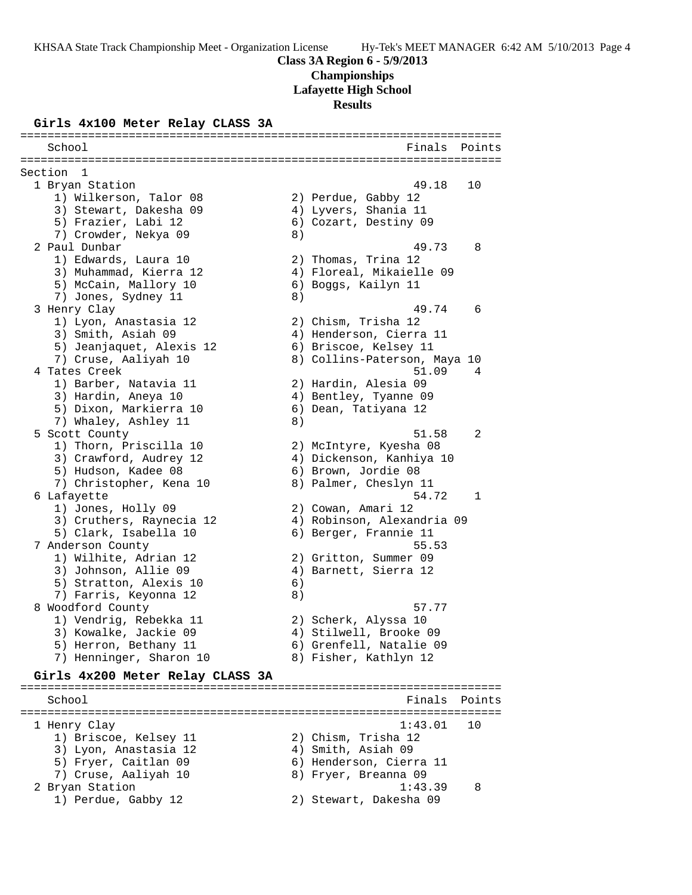#### **Girls 4x100 Meter Relay CLASS 3A**

School **Finals** Points **School** ======================================================================= Section 1<br>1 Bryan Station 1 Bryan Station 49.18 10 1) Wilkerson, Talor 08 2) Perdue, Gabby 12 3) Stewart, Dakesha 09 4) Lyvers, Shania 11 5) Frazier, Labi 12 6) Cozart, Destiny 09 7) Crowder, Nekya 09 8) 2 Paul Dunbar 49.73 8 1) Edwards, Laura 10 2) Thomas, Trina 12 3) Muhammad, Kierra 12 4) Floreal, Mikaielle 09 5) McCain, Mallory 10 (6) Boggs, Kailyn 11 7) Jones, Sydney 11 8) 3 Henry Clay 49.74 6 1) Lyon, Anastasia 12 2) Chism, Trisha 12 3) Smith, Asiah 09 4) Henderson, Cierra 11 5) Jeanjaquet, Alexis 12 6) Briscoe, Kelsey 11 7) Cruse, Aaliyah 10 8) Collins-Paterson, Maya 10 4 Tates Creek 51.09 4 1) Barber, Natavia 11 2) Hardin, Alesia 09 3) Hardin, Aneya 10 4) Bentley, Tyanne 09 5) Dixon, Markierra 10  $\,$  6) Dean, Tatiyana 12 7) Whaley, Ashley 11 8) 5 Scott County 51.58 2 1) Thorn, Priscilla 10 2) McIntyre, Kyesha 08 3) Crawford, Audrey 12 4) Dickenson, Kanhiya 10 5) Hudson, Kadee 08 6) Brown, Jordie 08 7) Christopher, Kena 10 8) Palmer, Cheslyn 11 6 Lafayette 54.72 1 1) Jones, Holly 09 2) Cowan, Amari 12 3) Cruthers, Raynecia 12 4) Robinson, Alexandria 09 5) Clark, Isabella 10 6) Berger, Frannie 11 7 Anderson County 55.53 1) Wilhite, Adrian 12 2) Gritton, Summer 09 3) Johnson, Allie 09 4) Barnett, Sierra 12 5) Stratton, Alexis 10 (6) 7) Farris, Keyonna 12 (8) 8 Woodford County 57.77 1) Vendrig, Rebekka 11 2) Scherk, Alyssa 10 3) Kowalke, Jackie 09 4) Stilwell, Brooke 09 5) Herron, Bethany 11 6) Grenfell, Natalie 09 7) Henninger, Sharon 10 8) Fisher, Kathlyn 12 **Girls 4x200 Meter Relay CLASS 3A** ======================================================================= School **Finals** Points **Points** ======================================================================= 1 Henry Clay 1:43.01 10 1) Briscoe, Kelsey 11 2) Chism, Trisha 12 3) Lyon, Anastasia 12 4) Smith, Asiah 09 5) Fryer, Caitlan 09 6) Henderson, Cierra 11 7) Cruse, Aaliyah 10 8) Fryer, Breanna 09 2 Bryan Station 1:43.39 8 1) Perdue, Gabby 12 2) Stewart, Dakesha 09

=======================================================================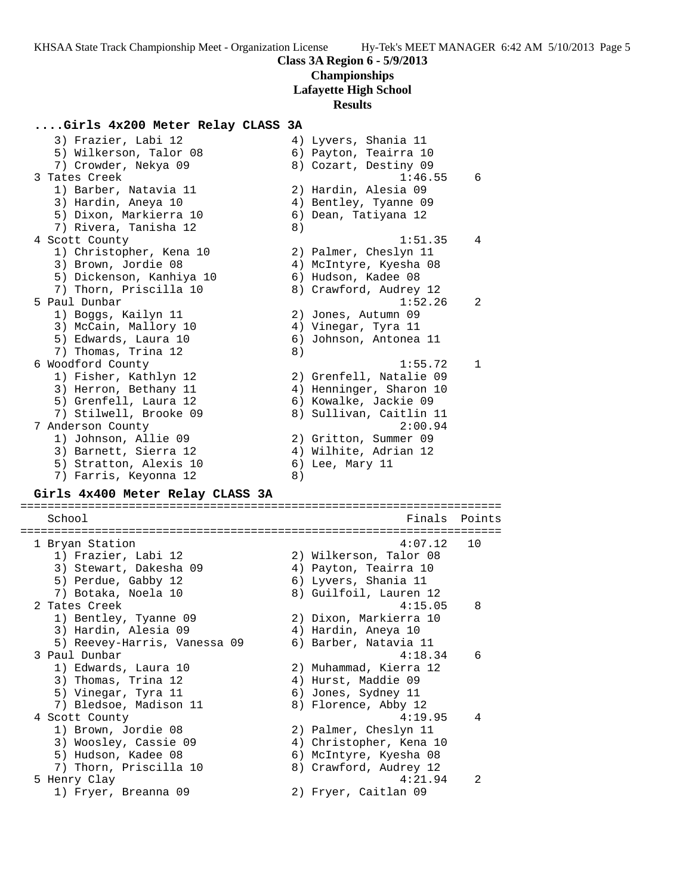#### **....Girls 4x200 Meter Relay CLASS 3A**

| 3) Frazier, Labi 12      | 4) Lyvers, Shania 11    |
|--------------------------|-------------------------|
| 5) Wilkerson, Talor 08   | 6) Payton, Teairra 10   |
| 7) Crowder, Nekya 09     | 8) Cozart, Destiny 09   |
| 3 Tates Creek            | 1:46.55<br>6            |
| 1) Barber, Natavia 11    | 2) Hardin, Alesia 09    |
| 3) Hardin, Aneya 10      | 4) Bentley, Tyanne 09   |
| 5) Dixon, Markierra 10   | 6) Dean, Tatiyana 12    |
| 7) Rivera, Tanisha 12    | 8)                      |
| 4 Scott County           | 1:51.35<br>4            |
| 1) Christopher, Kena 10  | 2) Palmer, Cheslyn 11   |
| 3) Brown, Jordie 08      | 4) McIntyre, Kyesha 08  |
| 5) Dickenson, Kanhiya 10 | 6) Hudson, Kadee 08     |
| 7) Thorn, Priscilla 10   | 8) Crawford, Audrey 12  |
| 5 Paul Dunbar            | 1:52.26<br>2            |
| 1) Boggs, Kailyn 11      | 2) Jones, Autumn 09     |
| 3) McCain, Mallory 10    | 4) Vinegar, Tyra 11     |
| 5) Edwards, Laura 10     | 6) Johnson, Antonea 11  |
| 7) Thomas, Trina 12      | 8)                      |
| 6 Woodford County        | 1:55.72<br>$\mathbf{1}$ |
| 1) Fisher, Kathlyn 12    | 2) Grenfell, Natalie 09 |
| 3) Herron, Bethany 11    | 4) Henninger, Sharon 10 |
| 5) Grenfell, Laura 12    | 6) Kowalke, Jackie 09   |
| 7) Stilwell, Brooke 09   | 8) Sullivan, Caitlin 11 |
| 7 Anderson County        | 2:00.94                 |
| 1) Johnson, Allie 09     | 2) Gritton, Summer 09   |
| 3) Barnett, Sierra 12    | 4) Wilhite, Adrian 12   |
| 5) Stratton, Alexis 10   | $6)$ Lee, Mary 11       |
| 7) Farris, Keyonna 12    | 8)                      |

#### **Girls 4x400 Meter Relay CLASS 3A**

======================================================================= School **Finals** Points **Points** ======================================================================= 1 Bryan Station 4:07.12 10 1) Frazier, Labi 12 2) Wilkerson, Talor 08 3) Stewart, Dakesha 09 4) Payton, Teairra 10 5) Perdue, Gabby 12 (6) Lyvers, Shania 11 7) Botaka, Noela 10 8) Guilfoil, Lauren 12 2 Tates Creek 4:15.05 8 1) Bentley, Tyanne 09 2) Dixon, Markierra 10 3) Hardin, Alesia 09 4) Hardin, Aneya 10 5) Reevey-Harris, Vanessa 09 6) Barber, Natavia 11 3 Paul Dunbar 4:18.34 6 1) Edwards, Laura 10 2) Muhammad, Kierra 12 3) Thomas, Trina 12 4) Hurst, Maddie 09 5) Vinegar, Tyra 11 (6) Jones, Sydney 11 7) Bledsoe, Madison 11  $\hskip1cm 8)$  Florence, Abby 12 4 Scott County 4:19.95 4 1) Brown, Jordie 08 2) Palmer, Cheslyn 11 3) Woosley, Cassie 09 4) Christopher, Kena 10 5) Hudson, Kadee 08 6) McIntyre, Kyesha 08 7) Thorn, Priscilla 10 8) Crawford, Audrey 12 5 Henry Clay 4:21.94 2 1) Fryer, Breanna 09 2) Fryer, Caitlan 09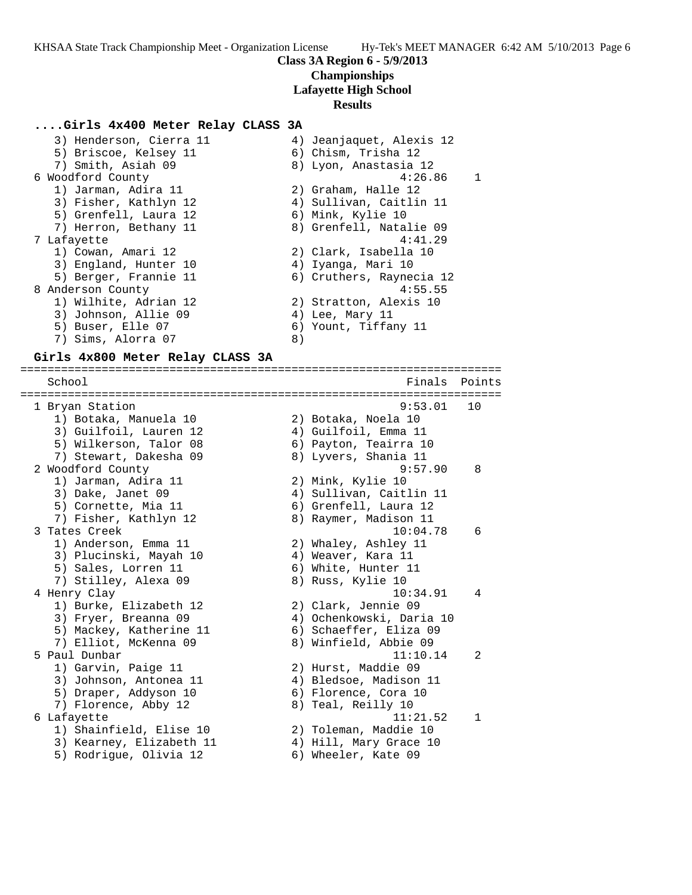#### **....Girls 4x400 Meter Relay CLASS 3A**

 3) Henderson, Cierra 11 4) Jeanjaquet, Alexis 12 5) Briscoe, Kelsey 11 (6) Chism, Trisha 12 7) Smith, Asiah 09 8) Lyon, Anastasia 12 6 Woodford County 4:26.86 1 1) Jarman, Adira 11 2) Graham, Halle 12 3) Fisher, Kathlyn 12 4) Sullivan, Caitlin 11 5) Grenfell, Laura 12 6) Mink, Kylie 10 7) Herron, Bethany 11 8) Grenfell, Natalie 09 7 Lafayette 4:41.29 1) Cowan, Amari 12 2) Clark, Isabella 10 3) England, Hunter 10  $\hskip1cm 4$ ) Iyanga, Mari 10 5) Berger, Frannie 11 6) Cruthers, Raynecia 12 8 Anderson County 2018 12:00 12:00 12:00 12:00 12:00 12:00 12:00 12:00 12:00 12:00 12:00 12:00 12:00 12:00 12:0 1) Wilhite, Adrian 12 2) Stratton, Alexis 10 3) Johnson, Allie 09 (4) Lee, Mary 11 5) Buser, Elle 07 6) Yount, Tiffany 11 7) Sims, Alorra 07 (8)

#### **Girls 4x800 Meter Relay CLASS 3A**

======================================================================= School **Finals** Points ======================================================================= 1 Bryan Station 9:53.01 10 1) Botaka, Manuela 10 2) Botaka, Noela 10 3) Guilfoil, Lauren 12 4) Guilfoil, Emma 11 5) Wilkerson, Talor 08 6) Payton, Teairra 10 7) Stewart, Dakesha 09 8) Lyvers, Shania 11 2 Woodford County 9:57.90 8 1) Jarman, Adira 11 2) Mink, Kylie 10 3) Dake, Janet 09 4) Sullivan, Caitlin 11 5) Cornette, Mia 11 6) Grenfell, Laura 12 7) Fisher, Kathlyn 12 8) Raymer, Madison 11 3 Tates Creek 10:04.78 6 1) Anderson, Emma 11 2) Whaley, Ashley 11 3) Plucinski, Mayah 10  $\hskip1cm 4$ ) Weaver, Kara 11 5) Sales, Lorren 11 6) White, Hunter 11 7) Stilley, Alexa 09 8) Russ, Kylie 10 4 Henry Clay 10:34.91 4 1) Burke, Elizabeth 12 2) Clark, Jennie 09 3) Fryer, Breanna 09 4) Ochenkowski, Daria 10 5) Mackey, Katherine 11 6) Schaeffer, Eliza 09 7) Elliot, McKenna 09 8) Winfield, Abbie 09 5 Paul Dunbar 11:10.14 2 1) Garvin, Paige 11 2) Hurst, Maddie 09 3) Johnson, Antonea 11 4) Bledsoe, Madison 11 5) Draper, Addyson 10 (6) Florence, Cora 10 7) Florence, Abby 12 8) Teal, Reilly 10 6 Lafayette 11:21.52 1 1) Shainfield, Elise 10 2) Toleman, Maddie 10 3) Kearney, Elizabeth 11 4) Hill, Mary Grace 10 5) Rodrigue, Olivia 12 6) Wheeler, Kate 09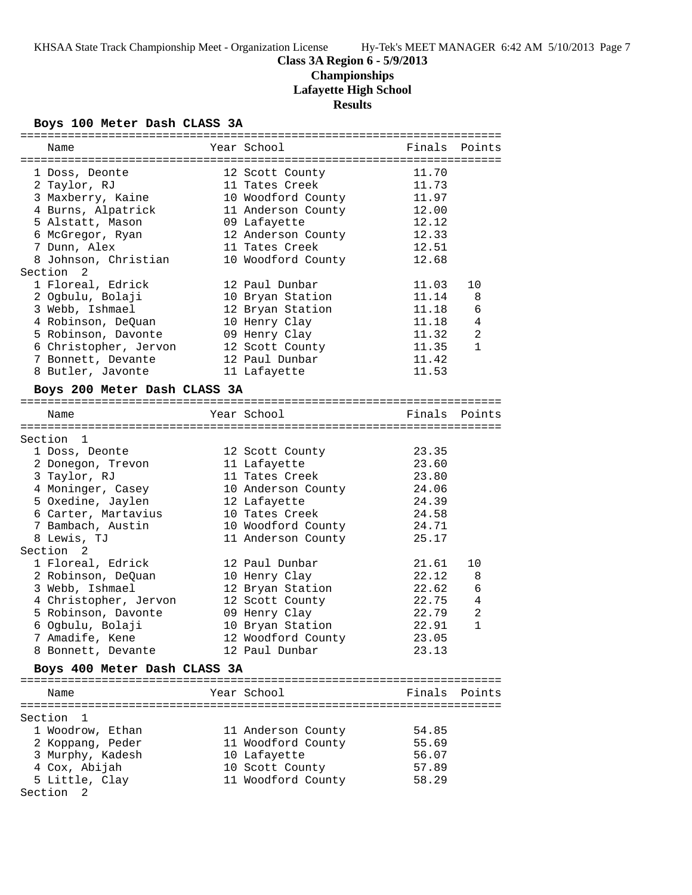# **Class 3A Region 6 - 5/9/2013**

# **Championships**

**Lafayette High School**

# **Results**

## **Boys 100 Meter Dash CLASS 3A**

| Name                         | Year School        | Finals | Points         |
|------------------------------|--------------------|--------|----------------|
|                              |                    |        |                |
| 1 Doss, Deonte               | 12 Scott County    | 11.70  |                |
| 2 Taylor, RJ                 | 11 Tates Creek     | 11.73  |                |
| 3 Maxberry, Kaine            | 10 Woodford County | 11.97  |                |
| 4 Burns, Alpatrick           | 11 Anderson County | 12.00  |                |
| 5 Alstatt, Mason             | 09 Lafayette       | 12.12  |                |
| 6 McGregor, Ryan             | 12 Anderson County | 12.33  |                |
| 7 Dunn, Alex                 | 11 Tates Creek     | 12.51  |                |
| 8 Johnson, Christian         | 10 Woodford County | 12.68  |                |
| Section 2                    |                    |        |                |
| 1 Floreal, Edrick            | 12 Paul Dunbar     | 11.03  | 10             |
| 2 Ogbulu, Bolaji             | 10 Bryan Station   | 11.14  | 8              |
| 3 Webb, Ishmael              | 12 Bryan Station   | 11.18  | 6              |
| 4 Robinson, DeQuan           | 10 Henry Clay      | 11.18  | 4              |
| 5 Robinson, Davonte          | 09 Henry Clay      | 11.32  | 2              |
| 6 Christopher, Jervon        | 12 Scott County    | 11.35  | $\mathbf{1}$   |
| 7 Bonnett, Devante           | 12 Paul Dunbar     | 11.42  |                |
|                              |                    | 11.53  |                |
| 8 Butler, Javonte            | 11 Lafayette       |        |                |
| Boys 200 Meter Dash CLASS 3A |                    |        |                |
| Name                         | Year School        |        | Finals Points  |
|                              |                    |        |                |
| Section 1                    |                    |        |                |
| 1 Doss, Deonte               | 12 Scott County    | 23.35  |                |
| 2 Donegon, Trevon            | 11 Lafayette       | 23.60  |                |
| 3 Taylor, RJ                 | 11 Tates Creek     | 23.80  |                |
| 4 Moninger, Casey            | 10 Anderson County | 24.06  |                |
| 5 Oxedine, Jaylen            |                    | 24.39  |                |
|                              | 12 Lafayette       |        |                |
| 6 Carter, Martavius          | 10 Tates Creek     | 24.58  |                |
| 7 Bambach, Austin            | 10 Woodford County | 24.71  |                |
| 8 Lewis, TJ                  | 11 Anderson County | 25.17  |                |
| Section <sub>2</sub>         |                    |        |                |
| 1 Floreal, Edrick            | 12 Paul Dunbar     | 21.61  | 10             |
| 2 Robinson, DeQuan           | 10 Henry Clay      | 22.12  | 8              |
| 3 Webb, Ishmael              | 12 Bryan Station   | 22.62  | 6              |
| 4 Christopher, Jervon        | 12 Scott County    | 22.75  | 4              |
| 5 Robinson, Davonte          | 09 Henry Clay      | 22.79  | $\overline{a}$ |
| 6 Ogbulu, Bolaji             | 10 Bryan Station   | 22.91  | $\mathbf{1}$   |
| 7 Amadife, Kene              | 12 Woodford County | 23.05  |                |
| 8 Bonnett, Devante           | 12 Paul Dunbar     | 23.13  |                |
| Boys 400 Meter Dash CLASS 3A |                    |        |                |
|                              |                    |        |                |
| Name                         | Year School        |        | Finals Points  |
|                              |                    |        |                |
| Section 1                    |                    |        |                |
| 1 Woodrow, Ethan             | 11 Anderson County | 54.85  |                |
| 2 Koppang, Peder             | 11 Woodford County | 55.69  |                |
| 3 Murphy, Kadesh             | 10 Lafayette       | 56.07  |                |
| 4 Cox, Abijah                | 10 Scott County    | 57.89  |                |
| 5 Little, Clay               | 11 Woodford County | 58.29  |                |
|                              |                    |        |                |
| Section<br>2                 |                    |        |                |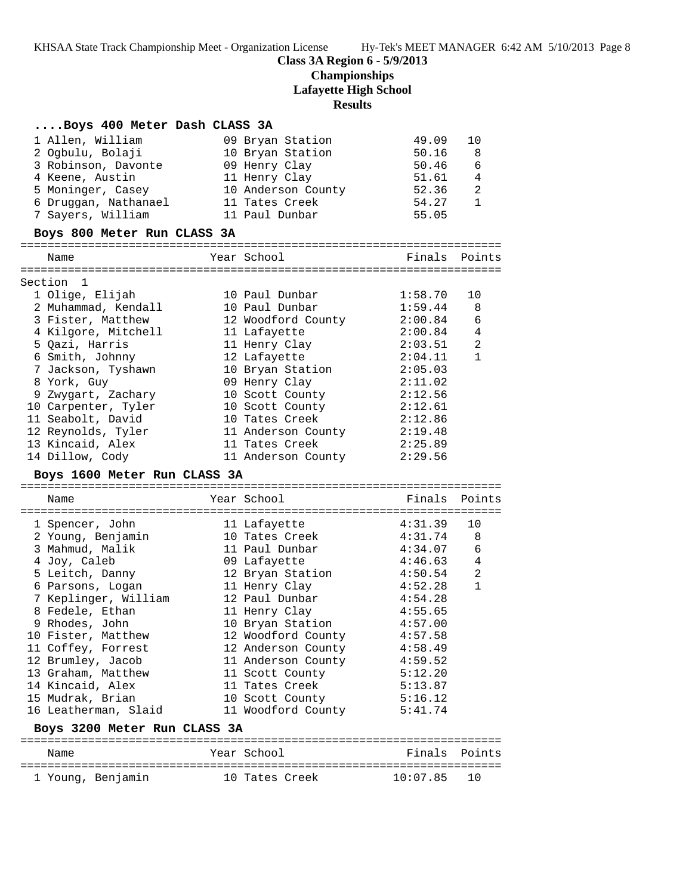# **Class 3A Region 6 - 5/9/2013 Championships Lafayette High School Results**

# **....Boys 400 Meter Dash CLASS 3A**

| 1 Allen, William<br>2 Ogbulu, Bolaji<br>3 Robinson, Davonte<br>4 Keene, Austin<br>5 Moninger, Casey<br>6 Druggan, Nathanael<br>7 Sayers, William | 09 Bryan Station<br>10 Bryan Station<br>09 Henry Clay<br>11 Henry Clay<br>10 Anderson County<br>11 Tates Creek<br>11 Paul Dunbar | 49.09<br>50.16<br>50.46<br>51.61<br>52.36<br>54.27<br>55.05 | 10<br>8<br>6<br>$\overline{4}$<br>2<br>$\mathbf{1}$ |
|--------------------------------------------------------------------------------------------------------------------------------------------------|----------------------------------------------------------------------------------------------------------------------------------|-------------------------------------------------------------|-----------------------------------------------------|
| Boys 800 Meter Run CLASS 3A                                                                                                                      |                                                                                                                                  |                                                             |                                                     |
| Name                                                                                                                                             | Year School                                                                                                                      | Finals Points                                               |                                                     |
|                                                                                                                                                  |                                                                                                                                  |                                                             |                                                     |
| Section 1                                                                                                                                        |                                                                                                                                  |                                                             |                                                     |
| 1 Olige, Elijah                                                                                                                                  | 10 Paul Dunbar                                                                                                                   | 1:58.70                                                     | 10                                                  |
| 2 Muhammad, Kendall                                                                                                                              | 10 Paul Dunbar                                                                                                                   | 1:59.44                                                     | 8                                                   |
| 3 Fister, Matthew                                                                                                                                | 12 Woodford County                                                                                                               | 2:00.84                                                     | 6                                                   |
| 4 Kilgore, Mitchell                                                                                                                              | 11 Lafayette                                                                                                                     | 2:00.84                                                     | $\overline{4}$                                      |
| 5 Qazi, Harris                                                                                                                                   | 11 Henry Clay                                                                                                                    | 2:03.51                                                     | $\overline{2}$                                      |
| 6 Smith, Johnny                                                                                                                                  | 12 Lafayette                                                                                                                     | 2:04.11                                                     | $\mathbf{1}$                                        |
| 7 Jackson, Tyshawn                                                                                                                               | 10 Bryan Station                                                                                                                 | 2:05.03                                                     |                                                     |
| 8 York, Guy                                                                                                                                      | 09 Henry Clay                                                                                                                    | 2:11.02                                                     |                                                     |
| 9 Zwygart, Zachary                                                                                                                               | 10 Scott County                                                                                                                  | 2:12.56                                                     |                                                     |
| 10 Carpenter, Tyler                                                                                                                              | 10 Scott County                                                                                                                  | 2:12.61                                                     |                                                     |
| 11 Seabolt, David                                                                                                                                | 10 Tates Creek                                                                                                                   | 2:12.86                                                     |                                                     |
| 12 Reynolds, Tyler                                                                                                                               | 11 Anderson County                                                                                                               | 2:19.48                                                     |                                                     |
| 13 Kincaid, Alex                                                                                                                                 | 11 Tates Creek                                                                                                                   | 2:25.89                                                     |                                                     |
| 14 Dillow, Cody                                                                                                                                  | 11 Anderson County                                                                                                               | 2:29.56                                                     |                                                     |
|                                                                                                                                                  |                                                                                                                                  |                                                             |                                                     |
| Boys 1600 Meter Run CLASS 3A                                                                                                                     |                                                                                                                                  |                                                             |                                                     |
| Name                                                                                                                                             | Year School                                                                                                                      | Finals Points                                               |                                                     |
|                                                                                                                                                  |                                                                                                                                  |                                                             |                                                     |
| 1 Spencer, John                                                                                                                                  | 11 Lafayette                                                                                                                     | 4:31.39                                                     | 10                                                  |
| 2 Young, Benjamin                                                                                                                                | 10 Tates Creek                                                                                                                   | 4:31.74                                                     | 8                                                   |
| 3 Mahmud, Malik                                                                                                                                  | 11 Paul Dunbar                                                                                                                   | 4:34.07                                                     | 6                                                   |
| 4 Joy, Caleb                                                                                                                                     | 09 Lafayette                                                                                                                     | 4:46.63                                                     | 4                                                   |
| 5 Leitch, Danny                                                                                                                                  | 12 Bryan Station                                                                                                                 | 4:50.54                                                     | 2                                                   |
| 6 Parsons, Logan                                                                                                                                 | 11 Henry Clay                                                                                                                    | 4:52.28                                                     | $\mathbf{1}$                                        |
| 7 Keplinger, William                                                                                                                             | 12 Paul Dunbar                                                                                                                   | 4:54.28                                                     |                                                     |
| 8 Fedele, Ethan                                                                                                                                  | 11 Henry Clay                                                                                                                    | 4:55.65                                                     |                                                     |
| 9 Rhodes, John                                                                                                                                   | 10 Bryan Station                                                                                                                 | 4:57.00                                                     |                                                     |
| 10 Fister, Matthew                                                                                                                               | 12 Woodford County                                                                                                               | 4:57.58                                                     |                                                     |
| 11 Coffey, Forrest                                                                                                                               | 12 Anderson County                                                                                                               | 4:58.49                                                     |                                                     |
| 12 Brumley, Jacob                                                                                                                                | 11 Anderson County                                                                                                               | 4:59.52                                                     |                                                     |
| 13 Graham, Matthew                                                                                                                               | 11 Scott County                                                                                                                  | 5:12.20                                                     |                                                     |
| 14 Kincaid, Alex                                                                                                                                 | 11 Tates Creek                                                                                                                   | 5:13.87                                                     |                                                     |
| 15 Mudrak, Brian                                                                                                                                 | 10 Scott County                                                                                                                  | 5:16.12                                                     |                                                     |
| 16 Leatherman, Slaid                                                                                                                             | 11 Woodford County                                                                                                               | 5:41.74                                                     |                                                     |
| Boys 3200 Meter Run CLASS 3A                                                                                                                     |                                                                                                                                  |                                                             |                                                     |
| Name                                                                                                                                             | Year School                                                                                                                      | Finals                                                      | Points                                              |
| 1 Young, Benjamin                                                                                                                                | 10 Tates Creek                                                                                                                   | 10:07.85                                                    | 10                                                  |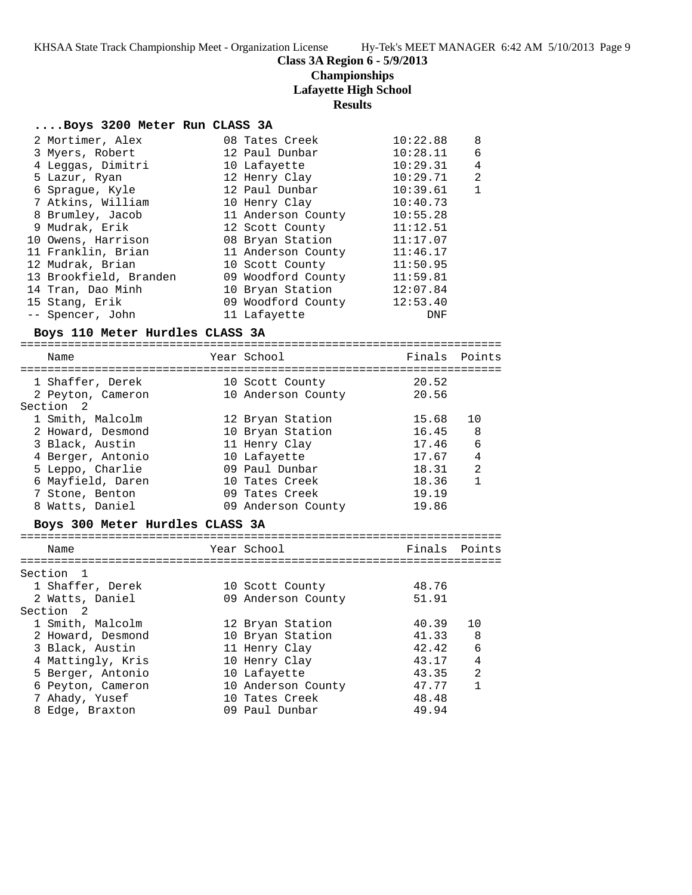## **Class 3A Region 6 - 5/9/2013**

# **Championships**

# **Lafayette High School**

## **Results**

#### **....Boys 3200 Meter Run CLASS 3A**

|                                 | 2 Mortimer, Alex       |  | 08 Tates Creek     | 10:22.88         | 8              |  |
|---------------------------------|------------------------|--|--------------------|------------------|----------------|--|
|                                 | 3 Myers, Robert        |  | 12 Paul Dunbar     | 10:28.11         | 6              |  |
|                                 | 4 Leggas, Dimitri      |  | 10 Lafayette       | 10:29.31         | $\overline{4}$ |  |
|                                 | 5 Lazur, Ryan          |  | 12 Henry Clay      | 10:29.71         | 2              |  |
|                                 | 6 Spraque, Kyle        |  | 12 Paul Dunbar     | 10:39.61         | $\mathbf{1}$   |  |
|                                 | 7 Atkins, William      |  | 10 Henry Clay      | 10:40.73         |                |  |
|                                 | 8 Brumley, Jacob       |  | 11 Anderson County | 10:55.28         |                |  |
|                                 | 9 Mudrak, Erik         |  | 12 Scott County    | 11:12.51         |                |  |
|                                 | 10 Owens, Harrison     |  | 08 Bryan Station   | 11:17.07         |                |  |
|                                 | 11 Franklin, Brian     |  | 11 Anderson County | 11:46.17         |                |  |
|                                 | 12 Mudrak, Brian       |  | 10 Scott County    | 11:50.95         |                |  |
|                                 | 13 Brookfield, Branden |  | 09 Woodford County | 11:59.81         |                |  |
|                                 | 14 Tran, Dao Minh      |  | 10 Bryan Station   | 12:07.84         |                |  |
|                                 | 15 Stang, Erik         |  | 09 Woodford County | 12:53.40         |                |  |
|                                 | -- Spencer, John       |  | 11 Lafayette       | DNF              |                |  |
| Boys 110 Meter Hurdles CLASS 3A |                        |  |                    |                  |                |  |
|                                 |                        |  |                    |                  |                |  |
|                                 | $N \cap m \cap$        |  | Voor Cahool        | $FindA$ $DointA$ |                |  |

| Name |                                                                                                                                                                                                                    | Finals                                                                                                                                                                                                    | Points |
|------|--------------------------------------------------------------------------------------------------------------------------------------------------------------------------------------------------------------------|-----------------------------------------------------------------------------------------------------------------------------------------------------------------------------------------------------------|--------|
|      |                                                                                                                                                                                                                    | 20.52                                                                                                                                                                                                     |        |
|      |                                                                                                                                                                                                                    | 20.56                                                                                                                                                                                                     |        |
|      |                                                                                                                                                                                                                    |                                                                                                                                                                                                           |        |
|      |                                                                                                                                                                                                                    | 15.68                                                                                                                                                                                                     | 10     |
|      |                                                                                                                                                                                                                    | 16.45                                                                                                                                                                                                     | -8     |
|      |                                                                                                                                                                                                                    | 17.46                                                                                                                                                                                                     | 6      |
|      |                                                                                                                                                                                                                    | 17.67                                                                                                                                                                                                     | 4      |
|      |                                                                                                                                                                                                                    | 18.31                                                                                                                                                                                                     | 2      |
|      |                                                                                                                                                                                                                    | 18.36                                                                                                                                                                                                     | 1      |
|      |                                                                                                                                                                                                                    | 19.19                                                                                                                                                                                                     |        |
|      |                                                                                                                                                                                                                    | 19.86                                                                                                                                                                                                     |        |
|      | 1 Shaffer, Derek<br>2 Peyton, Cameron<br>Section 2<br>1 Smith, Malcolm<br>2 Howard, Desmond<br>3 Black, Austin<br>4 Berger, Antonio<br>5 Leppo, Charlie<br>6 Mayfield, Daren<br>7 Stone, Benton<br>8 Watts, Daniel | Year School<br>10 Scott County<br>10 Anderson County<br>12 Bryan Station<br>10 Bryan Station<br>11 Henry Clay<br>10 Lafayette<br>09 Paul Dunbar<br>10 Tates Creek<br>09 Tates Creek<br>09 Anderson County |        |

#### **Boys 300 Meter Hurdles CLASS 3A**

| Name              | Year School        | Finals Points |                |
|-------------------|--------------------|---------------|----------------|
| Section 1         |                    |               |                |
| 1 Shaffer, Derek  | 10 Scott County    | 48.76         |                |
| 2 Watts, Daniel   | 09 Anderson County | 51.91         |                |
| Section 2         |                    |               |                |
| 1 Smith, Malcolm  | 12 Bryan Station   | 40.39         | 10             |
| 2 Howard, Desmond | 10 Bryan Station   | 41.33         | -8             |
| 3 Black, Austin   | 11 Henry Clay      | 42.42         | $\sqrt{2}$     |
| 4 Mattingly, Kris | 10 Henry Clay      | 43.17         | 4              |
| 5 Berger, Antonio | 10 Lafayette       | 43.35         | $\mathfrak{D}$ |
| 6 Peyton, Cameron | 10 Anderson County | 47.77         | $\mathbf{1}$   |
| 7 Ahady, Yusef    | 10 Tates Creek     | 48.48         |                |
| 8 Edge, Braxton   | 09 Paul Dunbar     | 49.94         |                |
|                   |                    |               |                |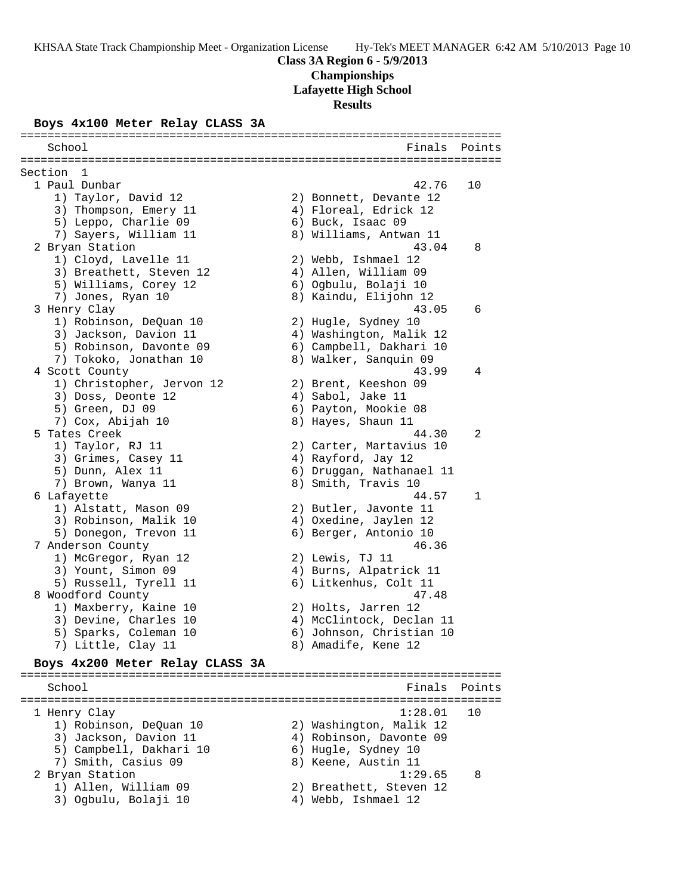#### **Boys 4x100 Meter Relay CLASS 3A**

School **Finals** Points **Points** ======================================================================= Section 1<br>1 Paul Dunbar 1 Paul Dunbar 42.76 10 1) Taylor, David 12 2) Bonnett, Devante 12 3) Thompson, Emery 11 4) Floreal, Edrick 12 5) Leppo, Charlie 09 6) Buck, Isaac 09 7) Sayers, William 11 8) Williams, Antwan 11 2 Bryan Station 43.04 8 1) Cloyd, Lavelle 11 2) Webb, Ishmael 12 3) Breathett, Steven 12 4) Allen, William 09 5) Williams, Corey 12 6) Ogbulu, Bolaji 10 7) Jones, Ryan 10 8) Kaindu, Elijohn 12 3 Henry Clay 43.05 6 1) Robinson, DeQuan 10 2) Hugle, Sydney 10 3) Jackson, Davion 11 4) Washington, Malik 12 5) Robinson, Davonte 09 6) Campbell, Dakhari 10 7) Tokoko, Jonathan 10 8) Walker, Sanquin 09 4 Scott County 43.99 4 1) Christopher, Jervon 12 2) Brent, Keeshon 09 3) Doss, Deonte 12 (4) Sabol, Jake 11 5) Green, DJ 09 6) Payton, Mookie 08 7) Cox, Abijah 10 8) Hayes, Shaun 11 5 Tates Creek 44.30 2 1) Taylor, RJ 11 2) Carter, Martavius 10 3) Grimes, Casey 11 (4) Rayford, Jay 12 5) Dunn, Alex 11 6) Druggan, Nathanael 11 7) Brown, Wanya 11 8) Smith, Travis 10 6 Lafayette 44.57 1 1) Alstatt, Mason 09 2) Butler, Javonte 11 3) Robinson, Malik 10 4) Oxedine, Jaylen 12 5) Donegon, Trevon 11 6) Berger, Antonio 10 7 Anderson County 46.36 1) McGregor, Ryan 12 2) Lewis, TJ 11 3) Yount, Simon 09 4) Burns, Alpatrick 11 5) Russell, Tyrell 11 6) Litkenhus, Colt 11 8 Woodford County 47.48 1) Maxberry, Kaine 10 2) Holts, Jarren 12 3) Devine, Charles 10 4) McClintock, Declan 11 5) Sparks, Coleman 10 6) Johnson, Christian 10 7) Little, Clay 11 8) Amadife, Kene 12 **Boys 4x200 Meter Relay CLASS 3A**

=======================================================================

#### ======================================================================= School **Finals** Points ======================================================================= 1 Henry Clay 1:28.01 10 1) Robinson, DeQuan 10 2) Washington, Malik 12 3) Jackson, Davion 11 4) Robinson, Davonte 09 5) Campbell, Dakhari 10 6) Hugle, Sydney 10 7) Smith, Casius 09 8) Keene, Austin 11 2 Bryan Station 1:29.65 8 1) Allen, William 09 2) Breathett, Steven 12 3) Ogbulu, Bolaji 10  $\hskip1cm$  4) Webb, Ishmael 12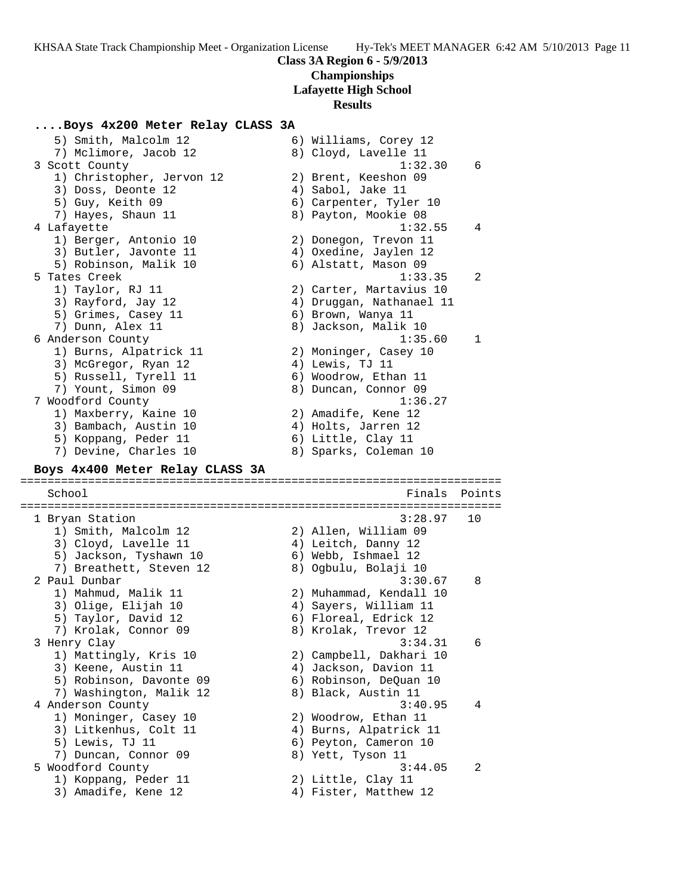#### **....Boys 4x200 Meter Relay CLASS 3A**

 5) Smith, Malcolm 12 6) Williams, Corey 12 7) Mclimore, Jacob 12 8) Cloyd, Lavelle 11 3 Scott County 1:32.30 6 1) Christopher, Jervon 12 2) Brent, Keeshon 09 3) Doss, Deonte 12 (4) Sabol, Jake 11 5) Guy, Keith 09 6) Carpenter, Tyler 10 7) Hayes, Shaun 11 8) Payton, Mookie 08 4 Lafayette 1:32.55 4 1) Berger, Antonio 10 2) Donegon, Trevon 11 3) Butler, Javonte 11 4) Oxedine, Jaylen 12 5) Robinson, Malik 10 (6) Alstatt, Mason 09 5 Tates Creek 1:33.35 2 1) Taylor, RJ 11 2) Carter, Martavius 10 3) Rayford, Jay 12 4) Druggan, Nathanael 11 5) Grimes, Casey 11 6) Brown, Wanya 11 7) Dunn, Alex 11 8) Jackson, Malik 10 6 Anderson County 1:35.60 1 1) Burns, Alpatrick 11 2) Moninger, Casey 10 3) McGregor, Ryan 12 (4) Lewis, TJ 11 5) Russell, Tyrell 11 6) Woodrow, Ethan 11 7) Yount, Simon 09 8) Duncan, Connor 09 7 Woodford County 1:36.27 1) Maxberry, Kaine 10 2) Amadife, Kene 12 3) Bambach, Austin 10 (4) Holts, Jarren 12 5) Koppang, Peder 11 (6) Little, Clay 11 7) Devine, Charles 10 8) Sparks, Coleman 10 **Boys 4x400 Meter Relay CLASS 3A** ======================================================================= School **Finals** Points ======================================================================= 1 Bryan Station 3:28.97 10 1) Smith, Malcolm 12 2) Allen, William 09 3) Cloyd, Lavelle 11 (4) Leitch, Danny 12 5) Jackson, Tyshawn 10 6) Webb, Ishmael 12 7) Breathett, Steven 12 8) Ogbulu, Bolaji 10 2 Paul Dunbar 3:30.67 8 1) Mahmud, Malik 11 2) Muhammad, Kendall 10 3) Olige, Elijah 10 4) Sayers, William 11 5) Taylor, David 12 6) Floreal, Edrick 12 7) Krolak, Connor 09 8) Krolak, Trevor 12 3 Henry Clay 3:34.31 6 1) Mattingly, Kris 10 2) Campbell, Dakhari 10 3) Keene, Austin 11 4) Jackson, Davion 11 5) Robinson, Davonte 09 6) Robinson, DeQuan 10 7) Washington, Malik 12  $\hskip10mm$  8) Black, Austin 11 4 Anderson County 3:40.95 4 1) Moninger, Casey 10 2) Woodrow, Ethan 11 3) Litkenhus, Colt 11 4) Burns, Alpatrick 11 5) Lewis, TJ 11 6) Peyton, Cameron 10 7) Duncan, Connor 09 8) Yett, Tyson 11 5 Woodford County 3:44.05 2 1) Koppang, Peder 11 and 2) Little, Clay 11 3) Amadife, Kene 12 4) Fister, Matthew 12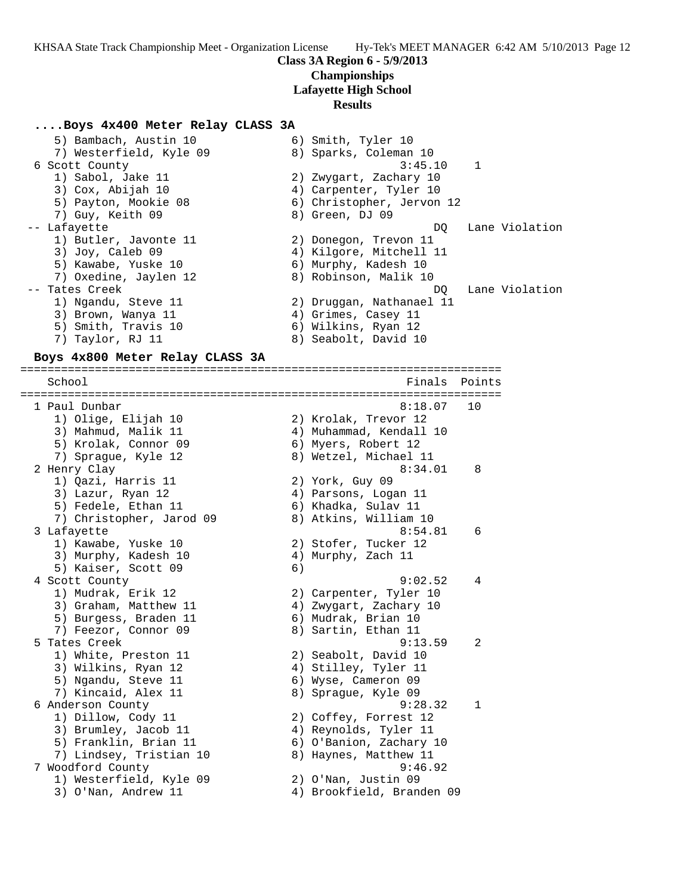#### **Class 3A Region 6 - 5/9/2013 Championships**

# **Lafayette High School**

# **Results**

#### **....Boys 4x400 Meter Relay CLASS 3A**

5) Bambach, Austin 10 (6) Smith, Tyler 10 7) Westerfield, Kyle 09 8) Sparks, Coleman 10 6 Scott County 3:45.10 1 1) Sabol, Jake 11 2) Zwygart, Zachary 10 3) Cox, Abijah 10 4) Carpenter, Tyler 10 5) Payton, Mookie 08 6) Christopher, Jervon 12 7) Guy, Keith 09 8) Green, DJ 09 -- Lafayette DQ Lane Violation 1) Butler, Javonte 11 2) Donegon, Trevon 11 3) Joy, Caleb 09 4) Kilgore, Mitchell 11 5) Kawabe, Yuske 10 6) Murphy, Kadesh 10 7) Oxedine, Jaylen 12 8) Robinson, Malik 10 -- Tates Creek DQ Lane Violation 1) Ngandu, Steve 11 2) Druggan, Nathanael 11 3) Brown, Wanya 11 (4) Grimes, Casey 11 5) Smith, Travis 10 6) Wilkins, Ryan 12 7) Taylor, RJ 11 8) Seabolt, David 10

#### **Boys 4x800 Meter Relay CLASS 3A** =======================================================================

School **Finals** Points ======================================================================= 1 Paul Dunbar 8:18.07 10 1) Olige, Elijah 10 2) Krolak, Trevor 12 3) Mahmud, Malik 11 4) Muhammad, Kendall 10 5) Krolak, Connor 09 6) Myers, Robert 12 7) Sprague, Kyle 12 8) Wetzel, Michael 11 2 Henry Clay 8:34.01 8 1) Qazi, Harris 11 2) York, Guy 09 3) Lazur, Ryan 12 4) Parsons, Logan 11 5) Fedele, Ethan 11 6) Khadka, Sulav 11 7) Christopher, Jarod 09 8) Atkins, William 10 3 Lafayette 6:54.81 6 1) Kawabe, Yuske 10 2) Stofer, Tucker 12 3) Murphy, Kadesh 10  $\hskip1cm 4$ ) Murphy, Zach 11 5) Kaiser, Scott 09 (6) 4 Scott County 9:02.52 4 1) Mudrak, Erik 12 2) Carpenter, Tyler 10 3) Graham, Matthew 11 4) Zwygart, Zachary 10 5) Burgess, Braden 11 (6) Mudrak, Brian 10 7) Feezor, Connor 09 8) Sartin, Ethan 11 5 Tates Creek 9:13.59 2 1) White, Preston 11 2) Seabolt, David 10 3) Wilkins, Ryan 12  $\hskip1cm$  4) Stilley, Tyler 11 5) Ngandu, Steve 11 6) Wyse, Cameron 09 7) Kincaid, Alex 11 and 8) Sprague, Kyle 09 6 Anderson County 9:28.32 1 1) Dillow, Cody 11 2) Coffey, Forrest 12 3) Brumley, Jacob 11 4) Reynolds, Tyler 11 5) Franklin, Brian 11 6) O'Banion, Zachary 10 7) Lindsey, Tristian 10 8) Haynes, Matthew 11 7 Woodford County 9:46.92 1) Westerfield, Kyle 09 2) O'Nan, Justin 09 3) O'Nan, Andrew 11 4) Brookfield, Branden 09